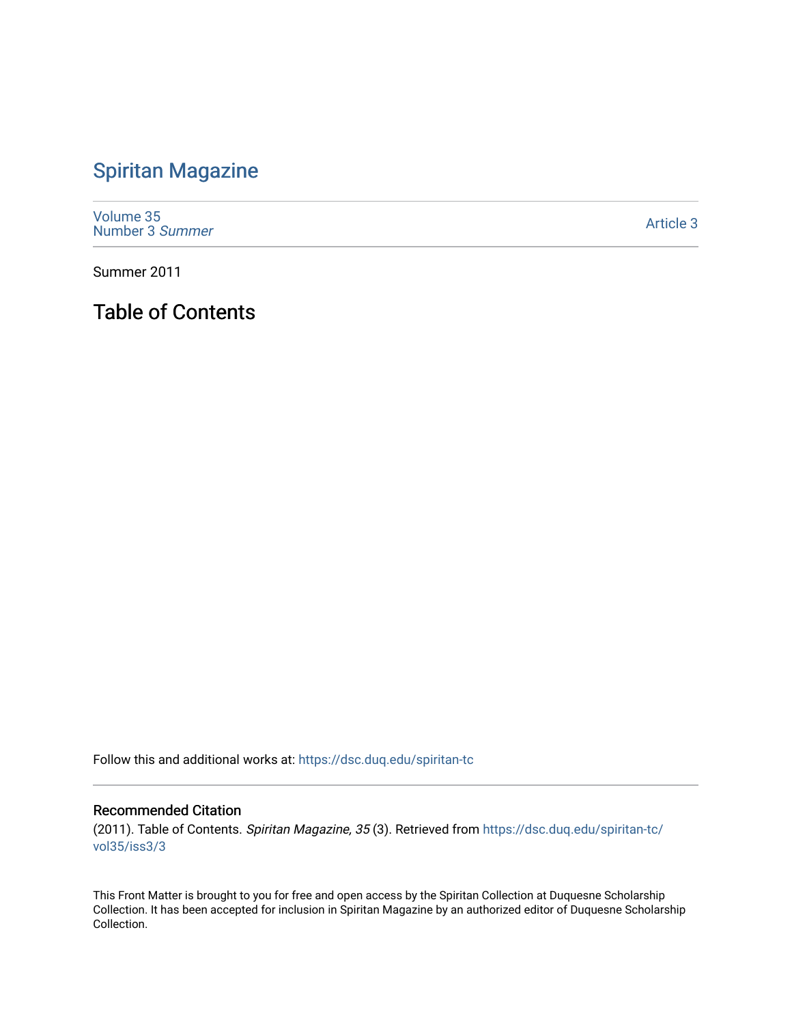## [Spiritan Magazine](https://dsc.duq.edu/spiritan-tc)

[Volume 35](https://dsc.duq.edu/spiritan-tc/vol35) [Number 3](https://dsc.duq.edu/spiritan-tc/vol35/iss3) Summer

[Article 3](https://dsc.duq.edu/spiritan-tc/vol35/iss3/3) 

Summer 2011

Table of Contents

Follow this and additional works at: [https://dsc.duq.edu/spiritan-tc](https://dsc.duq.edu/spiritan-tc?utm_source=dsc.duq.edu%2Fspiritan-tc%2Fvol35%2Fiss3%2F3&utm_medium=PDF&utm_campaign=PDFCoverPages)

## Recommended Citation

(2011). Table of Contents. Spiritan Magazine, 35 (3). Retrieved from [https://dsc.duq.edu/spiritan-tc/](https://dsc.duq.edu/spiritan-tc/vol35/iss3/3?utm_source=dsc.duq.edu%2Fspiritan-tc%2Fvol35%2Fiss3%2F3&utm_medium=PDF&utm_campaign=PDFCoverPages) [vol35/iss3/3](https://dsc.duq.edu/spiritan-tc/vol35/iss3/3?utm_source=dsc.duq.edu%2Fspiritan-tc%2Fvol35%2Fiss3%2F3&utm_medium=PDF&utm_campaign=PDFCoverPages)

This Front Matter is brought to you for free and open access by the Spiritan Collection at Duquesne Scholarship Collection. It has been accepted for inclusion in Spiritan Magazine by an authorized editor of Duquesne Scholarship Collection.